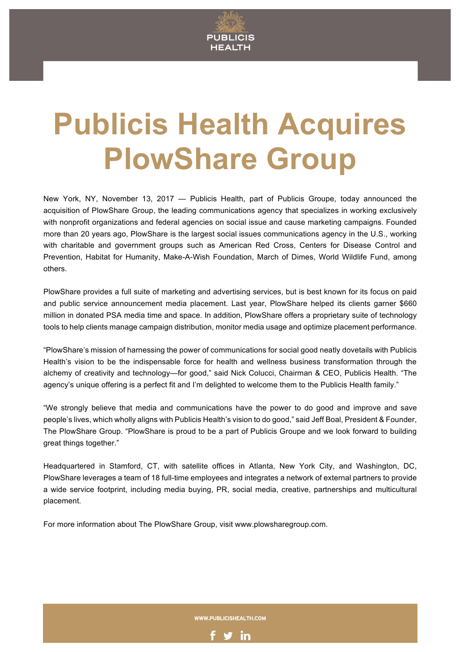

## **Publicis Health Acquires PlowShare Group**

New York, NY, November 13, 2017 — Publicis Health, part of Publicis Groupe, today announced the acquisition of PlowShare Group, the leading communications agency that specializes in working exclusively with nonprofit organizations and federal agencies on social issue and cause marketing campaigns. Founded more than 20 years ago, PlowShare is the largest social issues communications agency in the U.S., working with charitable and government groups such as American Red Cross, Centers for Disease Control and Prevention, Habitat for Humanity, Make-A-Wish Foundation, March of Dimes, World Wildlife Fund, among others.

PlowShare provides a full suite of marketing and advertising services, but is best known for its focus on paid and public service announcement media placement. Last year, PlowShare helped its clients garner \$660 million in donated PSA media time and space. In addition, PlowShare offers a proprietary suite of technology tools to help clients manage campaign distribution, monitor media usage and optimize placement performance.

"PlowShare's mission of harnessing the power of communications for social good neatly dovetails with Publicis Health's vision to be the indispensable force for health and wellness business transformation through the alchemy of creativity and technology—for good," said Nick Colucci, Chairman & CEO, Publicis Health. "The agency's unique offering is a perfect fit and I'm delighted to welcome them to the Publicis Health family."

"We strongly believe that media and communications have the power to do good and improve and save people's lives, which wholly aligns with Publicis Health's vision to do good," said Jeff Boal, President & Founder, The PlowShare Group. "PlowShare is proud to be a part of Publicis Groupe and we look forward to building great things together."

Headquartered in Stamford, CT, with satellite offices in Atlanta, New York City, and Washington, DC, PlowShare leverages a team of 18 full-time employees and integrates a network of external partners to provide a wide service footprint, including media buying, PR, social media, creative, partnerships and multicultural placement.

For more information about The PlowShare Group, visit www.plowsharegroup.com.

WWW.PUBLICISHEALTH.COM